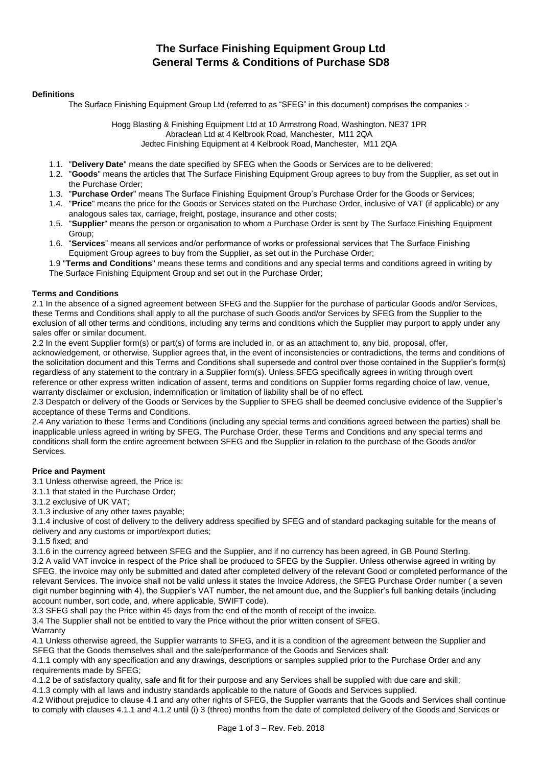# **The Surface Finishing Equipment Group Ltd General Terms & Conditions of Purchase SD8**

## **Definitions**

The Surface Finishing Equipment Group Ltd (referred to as "SFEG" in this document) comprises the companies :-

Hogg Blasting & Finishing Equipment Ltd at 10 Armstrong Road, Washington. NE37 1PR Abraclean Ltd at 4 Kelbrook Road, Manchester, M11 2QA Jedtec Finishing Equipment at 4 Kelbrook Road, Manchester, M11 2QA

- 1.1. "**Delivery Date**" means the date specified by SFEG when the Goods or Services are to be delivered;
- 1.2. "**Goods**" means the articles that The Surface Finishing Equipment Group agrees to buy from the Supplier, as set out in the Purchase Order;
- 1.3. "**Purchase Order**" means The Surface Finishing Equipment Group's Purchase Order for the Goods or Services;
- 1.4. "**Price**" means the price for the Goods or Services stated on the Purchase Order, inclusive of VAT (if applicable) or any analogous sales tax, carriage, freight, postage, insurance and other costs;
- 1.5. "**Supplier**" means the person or organisation to whom a Purchase Order is sent by The Surface Finishing Equipment Group;
- 1.6. "**Services**" means all services and/or performance of works or professional services that The Surface Finishing Equipment Group agrees to buy from the Supplier, as set out in the Purchase Order;
- 1.9 "**Terms and Conditions**" means these terms and conditions and any special terms and conditions agreed in writing by The Surface Finishing Equipment Group and set out in the Purchase Order;

# **Terms and Conditions**

2.1 In the absence of a signed agreement between SFEG and the Supplier for the purchase of particular Goods and/or Services, these Terms and Conditions shall apply to all the purchase of such Goods and/or Services by SFEG from the Supplier to the exclusion of all other terms and conditions, including any terms and conditions which the Supplier may purport to apply under any sales offer or similar document.

2.2 In the event Supplier form(s) or part(s) of forms are included in, or as an attachment to, any bid, proposal, offer, acknowledgement, or otherwise, Supplier agrees that, in the event of inconsistencies or contradictions, the terms and conditions of the solicitation document and this Terms and Conditions shall supersede and control over those contained in the Supplier's form(s) regardless of any statement to the contrary in a Supplier form(s). Unless SFEG specifically agrees in writing through overt reference or other express written indication of assent, terms and conditions on Supplier forms regarding choice of law, venue, warranty disclaimer or exclusion, indemnification or limitation of liability shall be of no effect.

2.3 Despatch or delivery of the Goods or Services by the Supplier to SFEG shall be deemed conclusive evidence of the Supplier's acceptance of these Terms and Conditions.

2.4 Any variation to these Terms and Conditions (including any special terms and conditions agreed between the parties) shall be inapplicable unless agreed in writing by SFEG. The Purchase Order, these Terms and Conditions and any special terms and conditions shall form the entire agreement between SFEG and the Supplier in relation to the purchase of the Goods and/or Services.

# **Price and Payment**

3.1 Unless otherwise agreed, the Price is:

- 3.1.1 that stated in the Purchase Order;
- 3.1.2 exclusive of UK VAT;
- 3.1.3 inclusive of any other taxes payable;

3.1.4 inclusive of cost of delivery to the delivery address specified by SFEG and of standard packaging suitable for the means of delivery and any customs or import/export duties;

3.1.5 fixed; and

3.1.6 in the currency agreed between SFEG and the Supplier, and if no currency has been agreed, in GB Pound Sterling.

3.2 A valid VAT invoice in respect of the Price shall be produced to SFEG by the Supplier. Unless otherwise agreed in writing by SFEG, the invoice may only be submitted and dated after completed delivery of the relevant Good or completed performance of the relevant Services. The invoice shall not be valid unless it states the Invoice Address, the SFEG Purchase Order number ( a seven digit number beginning with 4), the Supplier's VAT number, the net amount due, and the Supplier's full banking details (including account number, sort code, and, where applicable, SWIFT code).

3.3 SFEG shall pay the Price within 45 days from the end of the month of receipt of the invoice.

3.4 The Supplier shall not be entitled to vary the Price without the prior written consent of SFEG.

Warranty

4.1 Unless otherwise agreed, the Supplier warrants to SFEG, and it is a condition of the agreement between the Supplier and SFEG that the Goods themselves shall and the sale/performance of the Goods and Services shall:

4.1.1 comply with any specification and any drawings, descriptions or samples supplied prior to the Purchase Order and any requirements made by SFEG;

4.1.2 be of satisfactory quality, safe and fit for their purpose and any Services shall be supplied with due care and skill;

4.1.3 comply with all laws and industry standards applicable to the nature of Goods and Services supplied.

4.2 Without prejudice to clause 4.1 and any other rights of SFEG, the Supplier warrants that the Goods and Services shall continue to comply with clauses 4.1.1 and 4.1.2 until (i) 3 (three) months from the date of completed delivery of the Goods and Services or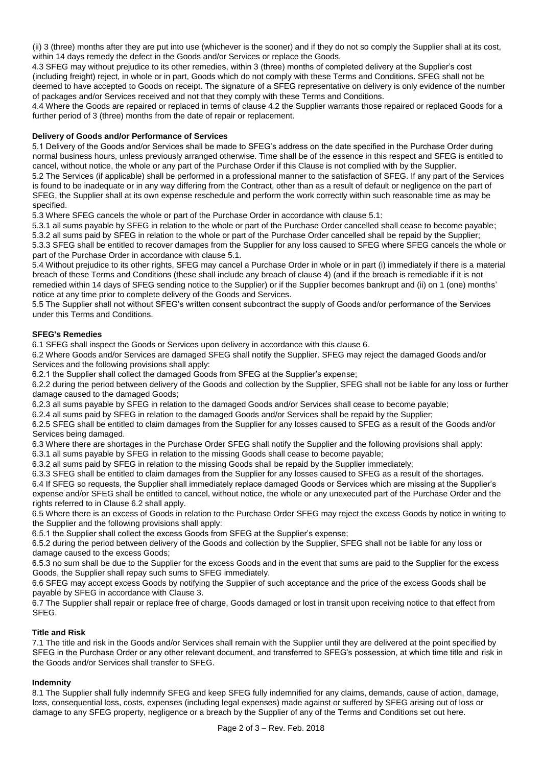(ii) 3 (three) months after they are put into use (whichever is the sooner) and if they do not so comply the Supplier shall at its cost, within 14 days remedy the defect in the Goods and/or Services or replace the Goods.

4.3 SFEG may without prejudice to its other remedies, within 3 (three) months of completed delivery at the Supplier's cost (including freight) reject, in whole or in part, Goods which do not comply with these Terms and Conditions. SFEG shall not be deemed to have accepted to Goods on receipt. The signature of a SFEG representative on delivery is only evidence of the number of packages and/or Services received and not that they comply with these Terms and Conditions.

4.4 Where the Goods are repaired or replaced in terms of clause 4.2 the Supplier warrants those repaired or replaced Goods for a further period of 3 (three) months from the date of repair or replacement.

# **Delivery of Goods and/or Performance of Services**

5.1 Delivery of the Goods and/or Services shall be made to SFEG's address on the date specified in the Purchase Order during normal business hours, unless previously arranged otherwise. Time shall be of the essence in this respect and SFEG is entitled to cancel, without notice, the whole or any part of the Purchase Order if this Clause is not complied with by the Supplier. 5.2 The Services (if applicable) shall be performed in a professional manner to the satisfaction of SFEG. If any part of the Services is found to be inadequate or in any way differing from the Contract, other than as a result of default or negligence on the part of SFEG, the Supplier shall at its own expense reschedule and perform the work correctly within such reasonable time as may be specified.

5.3 Where SFEG cancels the whole or part of the Purchase Order in accordance with clause 5.1:

5.3.1 all sums payable by SFEG in relation to the whole or part of the Purchase Order cancelled shall cease to become payable; 5.3.2 all sums paid by SFEG in relation to the whole or part of the Purchase Order cancelled shall be repaid by the Supplier;

5.3.3 SFEG shall be entitled to recover damages from the Supplier for any loss caused to SFEG where SFEG cancels the whole or part of the Purchase Order in accordance with clause 5.1.

5.4 Without prejudice to its other rights, SFEG may cancel a Purchase Order in whole or in part (i) immediately if there is a material breach of these Terms and Conditions (these shall include any breach of clause 4) (and if the breach is remediable if it is not remedied within 14 days of SFEG sending notice to the Supplier) or if the Supplier becomes bankrupt and (ii) on 1 (one) months' notice at any time prior to complete delivery of the Goods and Services.

5.5 The Supplier shall not without SFEG's written consent subcontract the supply of Goods and/or performance of the Services under this Terms and Conditions.

## **SFEG's Remedies**

6.1 SFEG shall inspect the Goods or Services upon delivery in accordance with this clause 6.

6.2 Where Goods and/or Services are damaged SFEG shall notify the Supplier. SFEG may reject the damaged Goods and/or Services and the following provisions shall apply:

6.2.1 the Supplier shall collect the damaged Goods from SFEG at the Supplier's expense;

6.2.2 during the period between delivery of the Goods and collection by the Supplier, SFEG shall not be liable for any loss or further damage caused to the damaged Goods;

6.2.3 all sums payable by SFEG in relation to the damaged Goods and/or Services shall cease to become payable;

6.2.4 all sums paid by SFEG in relation to the damaged Goods and/or Services shall be repaid by the Supplier;

6.2.5 SFEG shall be entitled to claim damages from the Supplier for any losses caused to SFEG as a result of the Goods and/or Services being damaged.

6.3 Where there are shortages in the Purchase Order SFEG shall notify the Supplier and the following provisions shall apply:

6.3.1 all sums payable by SFEG in relation to the missing Goods shall cease to become payable;

6.3.2 all sums paid by SFEG in relation to the missing Goods shall be repaid by the Supplier immediately;

6.3.3 SFEG shall be entitled to claim damages from the Supplier for any losses caused to SFEG as a result of the shortages.

6.4 If SFEG so requests, the Supplier shall immediately replace damaged Goods or Services which are missing at the Supplier's expense and/or SFEG shall be entitled to cancel, without notice, the whole or any unexecuted part of the Purchase Order and the rights referred to in Clause 6.2 shall apply.

6.5 Where there is an excess of Goods in relation to the Purchase Order SFEG may reject the excess Goods by notice in writing to the Supplier and the following provisions shall apply:

6.5.1 the Supplier shall collect the excess Goods from SFEG at the Supplier's expense;

6.5.2 during the period between delivery of the Goods and collection by the Supplier, SFEG shall not be liable for any loss or damage caused to the excess Goods;

6.5.3 no sum shall be due to the Supplier for the excess Goods and in the event that sums are paid to the Supplier for the excess Goods, the Supplier shall repay such sums to SFEG immediately.

6.6 SFEG may accept excess Goods by notifying the Supplier of such acceptance and the price of the excess Goods shall be payable by SFEG in accordance with Clause 3.

6.7 The Supplier shall repair or replace free of charge, Goods damaged or lost in transit upon receiving notice to that effect from SFEG.

# **Title and Risk**

7.1 The title and risk in the Goods and/or Services shall remain with the Supplier until they are delivered at the point specified by SFEG in the Purchase Order or any other relevant document, and transferred to SFEG's possession, at which time title and risk in the Goods and/or Services shall transfer to SFEG.

# **Indemnity**

8.1 The Supplier shall fully indemnify SFEG and keep SFEG fully indemnified for any claims, demands, cause of action, damage, loss, consequential loss, costs, expenses (including legal expenses) made against or suffered by SFEG arising out of loss or damage to any SFEG property, negligence or a breach by the Supplier of any of the Terms and Conditions set out here.